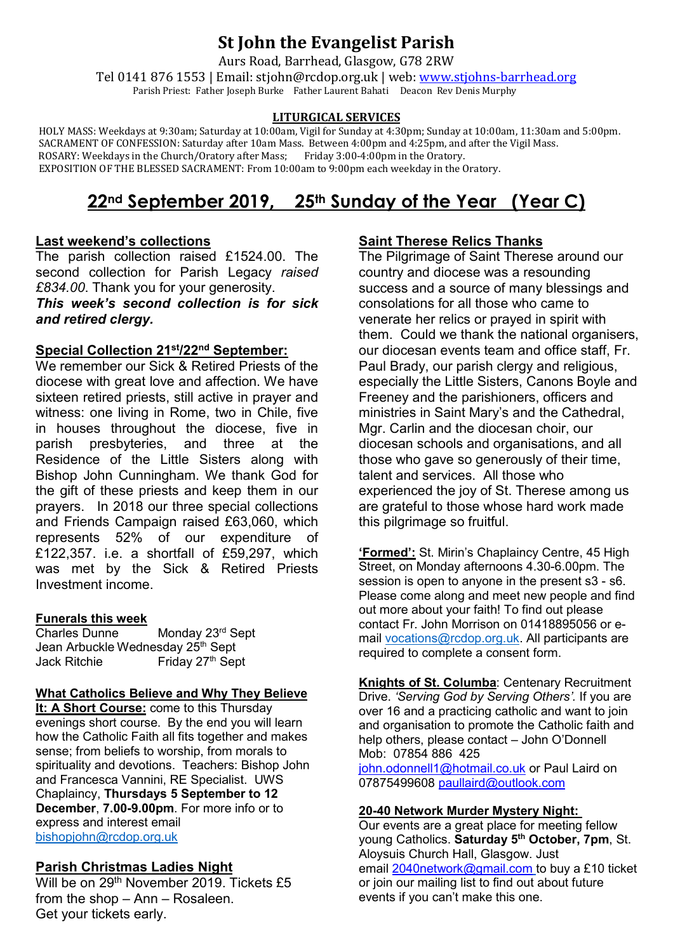# **St John the Evangelist Parish**

Aurs Road, Barrhead, Glasgow, G78 2RW

Tel 0141 876 1553 | Email: stjohn@rcdop.org.uk | web: [www.stjohns-barrhead.org](http://www.stjohns-barrhead.org/) Parish Priest: Father Joseph Burke Father Laurent Bahati Deacon Rev Denis Murphy

#### **LITURGICAL SERVICES**

 HOLY MASS: Weekdays at 9:30am; Saturday at 10:00am, Vigil for Sunday at 4:30pm; Sunday at 10:00am, 11:30am and 5:00pm. SACRAMENT OF CONFESSION: Saturday after 10am Mass. Between 4:00pm and 4:25pm, and after the Vigil Mass.<br>ROSARY: Weekdays in the Church/Oratory after Mass; Friday 3:00-4:00pm in the Oratory. ROSARY: Weekdays in the Church/Oratory after Mass; Friday 3:00-4:00pm in the Oratory. EXPOSITION OF THE BLESSED SACRAMENT: From 10:00am to 9:00pm each weekday in the Oratory.

# **22nd September 2019, 25th Sunday of the Year (Year C)**

#### **Last weekend's collections**

The parish collection raised £1524.00. The second collection for Parish Legacy *raised £834.00*. Thank you for your generosity.

## *This week's second collection is for sick and retired clergy.*

#### **Special Collection 21st/22nd September:**

We remember our Sick & Retired Priests of the diocese with great love and affection. We have sixteen retired priests, still active in prayer and witness: one living in Rome, two in Chile, five in houses throughout the diocese, five in parish presbyteries, and three at the Residence of the Little Sisters along with Bishop John Cunningham. We thank God for the gift of these priests and keep them in our prayers. In 2018 our three special collections and Friends Campaign raised £63,060, which represents 52% of our expenditure of £122,357. i.e. a shortfall of £59,297, which was met by the Sick & Retired Priests Investment income.

# **Funerals this week**

Monday 23<sup>rd</sup> Sept Jean Arbuckle Wednesday 25th Sept Friday 27<sup>th</sup> Sept

#### **What Catholics Believe and Why They Believe**

**It: A Short Course:** come to this Thursday evenings short course. By the end you will learn how the Catholic Faith all fits together and makes sense; from beliefs to worship, from morals to spirituality and devotions. Teachers: Bishop John and Francesca Vannini, RE Specialist. UWS Chaplaincy, **Thursdays 5 September to 12 December**, **7.00-9.00pm**. For more info or to express and interest email [bishopjohn@rcdop.org.uk](mailto:bishopjohn@rcdop.org.uk)

## **Parish Christmas Ladies Night**

Will be on 29<sup>th</sup> November 2019. Tickets £5 from the shop – Ann – Rosaleen. Get your tickets early.

# **Saint Therese Relics Thanks**

The Pilgrimage of Saint Therese around our country and diocese was a resounding success and a source of many blessings and consolations for all those who came to venerate her relics or prayed in spirit with them. Could we thank the national organisers, our diocesan events team and office staff, Fr. Paul Brady, our parish clergy and religious, especially the Little Sisters, Canons Boyle and Freeney and the parishioners, officers and ministries in Saint Mary's and the Cathedral, Mgr. Carlin and the diocesan choir, our diocesan schools and organisations, and all those who gave so generously of their time, talent and services. All those who experienced the joy of St. Therese among us are grateful to those whose hard work made this pilgrimage so fruitful.

**'Formed':** St. Mirin's Chaplaincy Centre, 45 High Street, on Monday afternoons 4.30-6.00pm. The session is open to anyone in the present s3 - s6. Please come along and meet new people and find out more about your faith! To find out please contact Fr. John Morrison on 01418895056 or email [vocations@rcdop.org.uk.](mailto:vocations@rcdop.org.uk) All participants are required to complete a consent form.

**Knights of St. Columba**: Centenary Recruitment Drive. *'Serving God by Serving Others'.* If you are over 16 and a practicing catholic and want to join and organisation to promote the Catholic faith and help others, please contact – John O'Donnell Mob: 07854 886 425 [john.odonnell1@hotmail.co.uk](mailto:john.odonnell1@hotmail.co.uk) or Paul Laird on

07875499608 [paullaird@outlook.com](mailto:paullaird@outlook.com)

#### **20-40 Network Murder Mystery Night:**

Our events are a great place for meeting fellow young Catholics. **Saturday 5th October, 7pm**, St. Aloysuis Church Hall, Glasgow. Just email [2040network@gmail.com](mailto:2040network@gmail.com) to buy a £10 ticket or join our mailing list to find out about future events if you can't make this one.